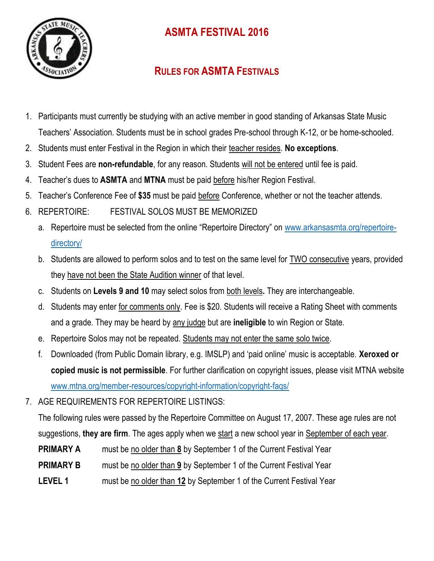

## **ASMTA FESTIVAL 2016**

## **RULES FOR ASMTA FESTIVALS**

- 1. Participants must currently be studying with an active member in good standing of Arkansas State Music Teachers' Association. Students must be in school grades Pre-school through K-12, or be home-schooled.
- 2. Students must enter Festival in the Region in which their teacher resides. **No exceptions**.
- 3. Student Fees are **non-refundable**, for any reason. Students will not be entered until fee is paid.
- 4. Teacher's dues to **ASMTA** and **MTNA** must be paid before his/her Region Festival.
- 5. Teacher's Conference Fee of **\$35** must be paid before Conference, whether or not the teacher attends.
- 6. REPERTOIRE: FESTIVAL SOLOS MUST BE MEMORIZED
	- a. Repertoire must be selected from the online "Repertoire Directory" on [www.arkansasmta.org/repertoire](http://www.arkansasmta.org/repertoire-directory/)[directory/](http://www.arkansasmta.org/repertoire-directory/)
	- b. Students are allowed to perform solos and to test on the same level for TWO consecutive years, provided they have not been the State Audition winner of that level.
	- c. Students on **Levels 9 and 10** may select solos from both levels**.** They are interchangeable.
	- d. Students may enter for comments only. Fee is \$20. Students will receive a Rating Sheet with comments and a grade. They may be heard by any judge but are **ineligible** to win Region or State.
	- e. Repertoire Solos may not be repeated. Students may not enter the same solo twice.
	- f. Downloaded (from Public Domain library, e.g. IMSLP) and 'paid online' music is acceptable. **Xeroxed or copied music is not permissible**. For further clarification on copyright issues, please visit MTNA website [www.mtna.org/member-resources/copyright-information/copyright-faqs/](http://www.mtna.org/member-resources/copyright-information/copyright-faqs/)
- 7. AGE REQUIREMENTS FOR REPERTOIRE LISTINGS:

The following rules were passed by the Repertoire Committee on August 17, 2007. These age rules are not suggestions, **they are firm**. The ages apply when we start a new school year in September of each year.

- **PRIMARY A** must be no older than **8** by September 1 of the Current Festival Year
- **PRIMARY B** must be no older than 9 by September 1 of the Current Festival Year
- **LEVEL 1** must be no older than **12** by September 1 of the Current Festival Year